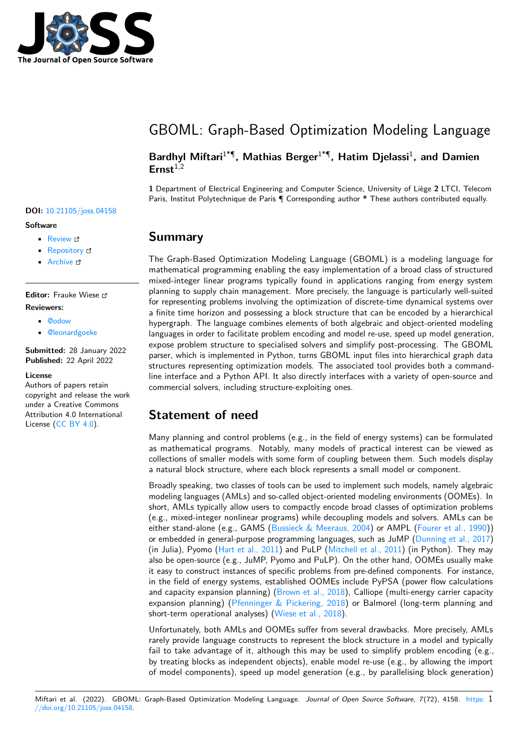

# GBOML: Graph-Based Optimization Modeling Language

### **Bardhyl Miftari**1\*¶ **, Mathias Berger**1\*¶ **, Hatim Djelassi**<sup>1</sup> **, and Damien Ernst**1,2

**1** Department of Electrical Engineering and Computer Science, University of Liège **2** LTCI, Telecom Paris, Institut Polytechnique de Paris ¶ Corresponding author **\*** These authors contributed equally.

# **DOI:** [10.21105/joss.04158](https://doi.org/10.21105/joss.04158)

#### **Software**

- [Review](https://github.com/openjournals/joss-reviews/issues/4158) &
- [Repository](https://gitlab.uliege.be/smart_grids/public/gboml) &
- [Archive](https://doi.org/10.5281/zenodo.6470268) C

**Editor:** Frauke Wiese **Reviewers:**

- [@odow](https://github.com/odow)
- [@leonardgoeke](https://github.com/leonardgoeke)

**Submitted:** 28 January 2022 **Published:** 22 April 2022

#### **License**

Authors of papers retain copyright and release the work under a Creative Commons Attribution 4.0 International License [\(CC BY 4.0\)](https://creativecommons.org/licenses/by/4.0/).

### **Summary**

The Graph-Based Optimization Modeling Language (GBOML) is a modeling language for mathematical programming enabling the easy implementation of a broad class of structured mixed-integer linear programs typically found in applications ranging from energy system planning to supply chain management. More precisely, the language is particularly well-suited for representing problems involving the optimization of discrete-time dynamical systems over a finite time horizon and possessing a block structure that can be encoded by a hierarchical hypergraph. The language combines elements of both algebraic and object-oriented modeling languages in order to facilitate problem encoding and model re-use, speed up model generation, expose problem structure to specialised solvers and simplify post-processing. The GBOML parser, which is implemented in Python, turns GBOML input files into hierarchical graph data structures representing optimization models. The associated tool provides both a commandline interface and a Python API. It also directly interfaces with a variety of open-source and commercial solvers, including structure-exploiting ones.

# **Statement of need**

Many planning and control problems (e.g., in the field of energy systems) can be formulated as mathematical programs. Notably, many models of practical interest can be viewed as collections of smaller models with some form of coupling between them. Such models display a natural block structure, where each block represents a small model or component.

Broadly speaking, two classes of tools can be used to implement such models, namely algebraic modeling languages (AMLs) and so-called object-oriented modeling environments (OOMEs). In short, AMLs typically allow users to compactly encode broad classes of optimization problems (e.g., mixed-integer nonlinear programs) while decoupling models and solvers. AMLs can be either stand-alone (e.g., GAMS [\(Bussieck & Meeraus, 2004\)](#page-3-0) or AMPL [\(Fourer et al., 1990\)](#page-3-1)) or embedded in general-purpose programming languages, such as JuMP [\(Dunning et al., 2017\)](#page-3-2) (in Julia), Pyomo [\(Hart et al., 2011\)](#page-3-3) and PuLP [\(Mitchell et al., 2011\)](#page-3-4) (in Python). They may also be open-source (e.g., JuMP, Pyomo and PuLP). On the other hand, OOMEs usually make it easy to construct instances of specific problems from pre-defined components. For instance, in the field of energy systems, established OOMEs include PyPSA (power flow calculations and capacity expansion planning) [\(Brown et al., 2018\)](#page-2-0), Calliope (multi-energy carrier capacity expansion planning) [\(Pfenninger & Pickering, 2018\)](#page-3-5) or Balmorel (long-term planning and short-term operational analyses) [\(Wiese et al., 2018\)](#page-3-6).

Unfortunately, both AMLs and OOMEs suffer from several drawbacks. More precisely, AMLs rarely provide language constructs to represent the block structure in a model and typically fail to take advantage of it, although this may be used to simplify problem encoding (e.g., by treating blocks as independent objects), enable model re-use (e.g., by allowing the import of model components), speed up model generation (e.g., by parallelising block generation)

Miftari et al. (2022). GBOML: Graph-Based Optimization Modeling Language. Journal of Open Source Software, 7(72), 4158. [https:](https://doi.org/10.21105/joss.04158) 1 [//doi.org/10.21105/joss.04158.](https://doi.org/10.21105/joss.04158)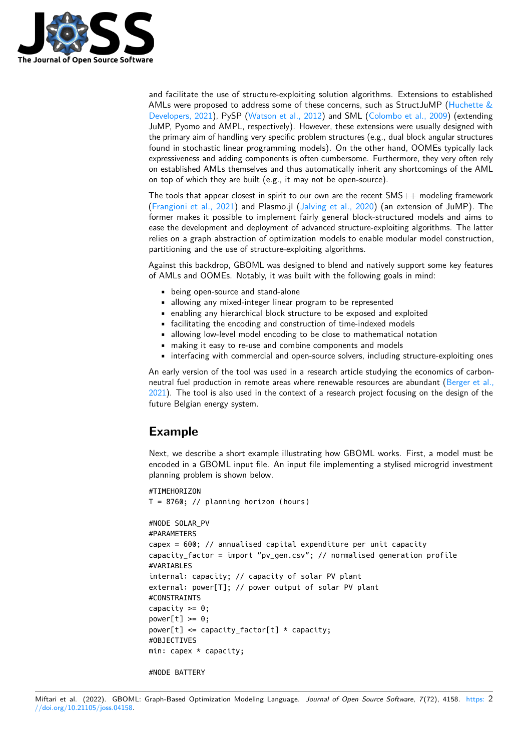

and facilitate the use of structure-exploiting solution algorithms. Extensions to established AMLs were proposed to address some of these concerns, such as StructJuMP (Huchette  $\&$ [Developers, 2021\)](#page-3-7), PySP [\(Watson et al., 2012\)](#page-3-8) and SML [\(Colombo et al., 2009\)](#page-3-9) (extending JuMP, Pyomo and AMPL, respectively). However, these extensions were usually designed with the primary aim of handling very specific problem structures (e.g., dual block angular structures found in stochastic linear programming models). On the other hand, OOMEs typically lack expressiveness and adding components is often cumbersome. Furthermore, they very often rely on established AMLs themselves and thus automatically inherit any shortcomings of the AML on top of which they are built (e.g., it may not be open-source).

The tools that appear closest in spirit to our own are the recent  $SMS++$  modeling framework [\(Frangioni et al., 2021\)](#page-3-10) and Plasmo.jl [\(Jalving et al., 2020\)](#page-3-11) (an extension of JuMP). The former makes it possible to implement fairly general block-structured models and aims to ease the development and deployment of advanced structure-exploiting algorithms. The latter relies on a graph abstraction of optimization models to enable modular model construction, partitioning and the use of structure-exploiting algorithms.

Against this backdrop, GBOML was designed to blend and natively support some key features of AMLs and OOMEs. Notably, it was built with the following goals in mind:

- being open-source and stand-alone
- allowing any mixed-integer linear program to be represented
- enabling any hierarchical block structure to be exposed and exploited
- facilitating the encoding and construction of time-indexed models
- allowing low-level model encoding to be close to mathematical notation
- making it easy to re-use and combine components and models
- interfacing with commercial and open-source solvers, including structure-exploiting ones

An early version of the tool was used in a research article studying the economics of carbon-neutral fuel production in remote areas where renewable resources are abundant [\(Berger et al.,](#page-2-1) [2021\)](#page-2-1). The tool is also used in the context of a research project focusing on the design of the future Belgian energy system.

# **Example**

Next, we describe a short example illustrating how GBOML works. First, a model must be encoded in a GBOML input file. An input file implementing a stylised microgrid investment planning problem is shown below.

```
#TIMEHORIZON
T = 8760; // planning horizon (hours)
#NODE SOLAR_PV
#PARAMETERS
capex = 600; // annualised capital expenditure per unit capacity
capacity_factor = import "pv_gen.csv"; // normalised generation profile
#VARIABLES
internal: capacity; // capacity of solar PV plant
external: power[T]; // power output of solar PV plant
#CONSTRAINTS
capacity >= 0:
power[t] \ge 0;
power[t] \leq capacity_factor[t] \times capacity;#OBJECTIVES
min: capex * capacity;
#NODE BATTERY
```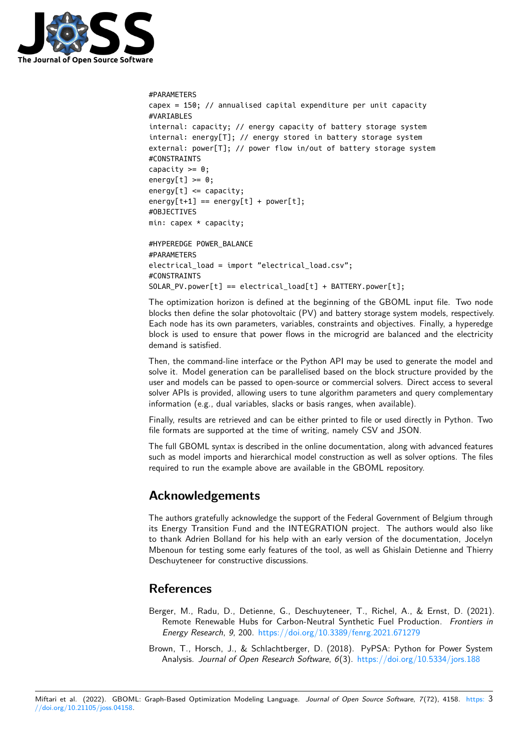

```
#PARAMETERS
capex = 150; // annualised capital expenditure per unit capacity
#VARIABLES
internal: capacity; // energy capacity of battery storage system
internal: energy[T]; // energy stored in battery storage system
external: power[T]; // power flow in/out of battery storage system
#CONSTRAINTS
capacity >= 0;energy[t] \ge 0;energy[t] \leq capacity;energy[t+1] == energy[t] + power[t];#OBJECTIVES
min: capex * capacity;
#HYPEREDGE POWER_BALANCE
#PARAMETERS
electrical_load = import "electrical_load.csv";
#CONSTRAINTS
SOLAR_PV.power[t] == electrical_load[t] + BATTERY.power[t];
```
The optimization horizon is defined at the beginning of the GBOML input file. Two node blocks then define the solar photovoltaic (PV) and battery storage system models, respectively. Each node has its own parameters, variables, constraints and objectives. Finally, a hyperedge block is used to ensure that power flows in the microgrid are balanced and the electricity demand is satisfied.

Then, the command-line interface or the Python API may be used to generate the model and solve it. Model generation can be parallelised based on the block structure provided by the user and models can be passed to open-source or commercial solvers. Direct access to several solver APIs is provided, allowing users to tune algorithm parameters and query complementary information (e.g., dual variables, slacks or basis ranges, when available).

Finally, results are retrieved and can be either printed to file or used directly in Python. Two file formats are supported at the time of writing, namely CSV and JSON.

The full GBOML syntax is described in the online documentation, along with advanced features such as model imports and hierarchical model construction as well as solver options. The files required to run the example above are available in the GBOML repository.

# **Acknowledgements**

The authors gratefully acknowledge the support of the Federal Government of Belgium through its Energy Transition Fund and the INTEGRATION project. The authors would also like to thank Adrien Bolland for his help with an early version of the documentation, Jocelyn Mbenoun for testing some early features of the tool, as well as Ghislain Detienne and Thierry Deschuyteneer for constructive discussions.

# **References**

- <span id="page-2-1"></span>Berger, M., Radu, D., Detienne, G., Deschuyteneer, T., Richel, A., & Ernst, D. (2021). Remote Renewable Hubs for Carbon-Neutral Synthetic Fuel Production. Frontiers in Energy Research, 9, 200. <https://doi.org/10.3389/fenrg.2021.671279>
- <span id="page-2-0"></span>Brown, T., Horsch, J., & Schlachtberger, D. (2018). PyPSA: Python for Power System Analysis. Journal of Open Research Software, 6(3). <https://doi.org/10.5334/jors.188>